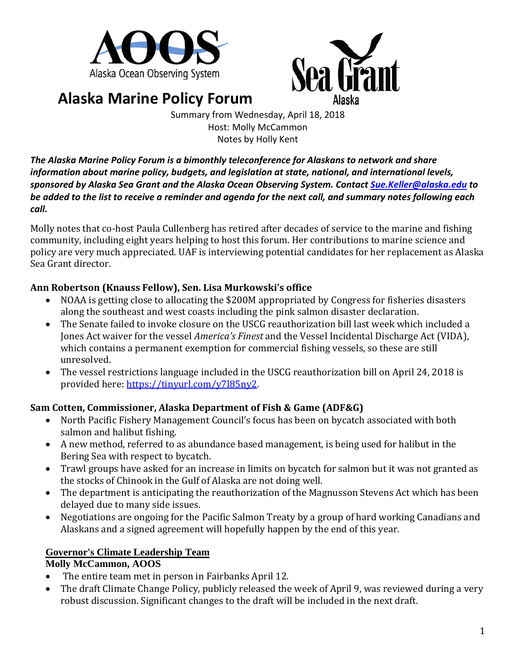



# **Alaska Marine Policy Forum**

Summary from Wednesday, April 18, 2018 Host: Molly McCammon Notes by Holly Kent

*The Alaska Marine Policy Forum is a bimonthly teleconference for Alaskans to network and share information about marine policy, budgets, and legislation at state, national, and international levels, sponsored by Alaska Sea Grant and the Alaska Ocean Observing System. Contac[t Sue.Keller@alaska.edu](mailto:Sue.Keller@alaska.edu) to be added to the list to receive a reminder and agenda for the next call, and summary notes following each call.*

Molly notes that co-host Paula Cullenberg has retired after decades of service to the marine and fishing community, including eight years helping to host this forum. Her contributions to marine science and policy are very much appreciated. UAF is interviewing potential candidates for her replacement as Alaska Sea Grant director.

## **Ann Robertson (Knauss Fellow), Sen. Lisa Murkowski's office**

- NOAA is getting close to allocating the \$200M appropriated by Congress for fisheries disasters along the southeast and west coasts including the pink salmon disaster declaration.
- The Senate failed to invoke closure on the USCG reauthorization bill last week which included a Jones Act waiver for the vessel *America's Finest* and the Vessel Incidental Discharge Act (VIDA), which contains a permanent exemption for commercial fishing vessels, so these are still unresolved.
- The vessel restrictions language included in the USCG reauthorization bill on April 24, 2018 is provided here: [https://tinyurl.com/y7l85ny2.](https://tinyurl.com/y7l85ny2)

# **Sam Cotten, Commissioner, Alaska Department of Fish & Game (ADF&G)**

- North Pacific Fishery Management Council's focus has been on bycatch associated with both salmon and halibut fishing.
- A new method, referred to as abundance based management, is being used for halibut in the Bering Sea with respect to bycatch.
- Trawl groups have asked for an increase in limits on bycatch for salmon but it was not granted as the stocks of Chinook in the Gulf of Alaska are not doing well.
- The department is anticipating the reauthorization of the Magnusson Stevens Act which has been delayed due to many side issues.
- Negotiations are ongoing for the Pacific Salmon Treaty by a group of hard working Canadians and Alaskans and a signed agreement will hopefully happen by the end of this year.

# **Governor's Climate Leadership Team**

#### **Molly McCammon, AOOS**

- The entire team met in person in Fairbanks April 12.
- The draft Climate Change Policy, publicly released the week of April 9, was reviewed during a very robust discussion. Significant changes to the draft will be included in the next draft.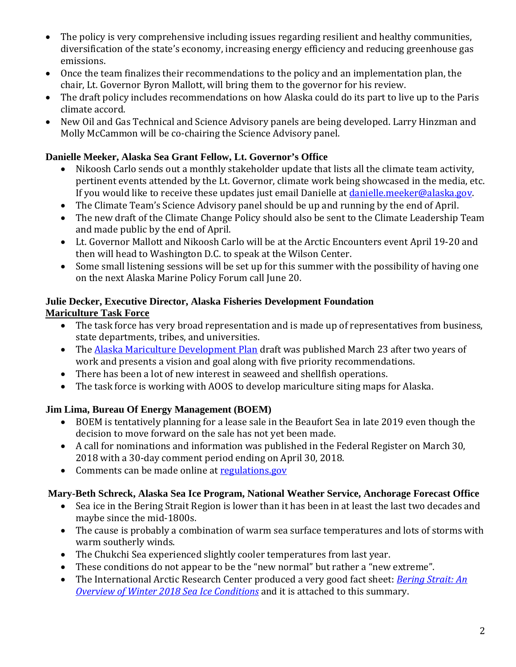- The policy is very comprehensive including issues regarding resilient and healthy communities, diversification of the state's economy, increasing energy efficiency and reducing greenhouse gas emissions.
- Once the team finalizes their recommendations to the policy and an implementation plan, the chair, Lt. Governor Byron Mallott, will bring them to the governor for his review.
- The draft policy includes recommendations on how Alaska could do its part to live up to the Paris climate accord.
- New Oil and Gas Technical and Science Advisory panels are being developed. Larry Hinzman and Molly McCammon will be co-chairing the Science Advisory panel.

## **Danielle Meeker, Alaska Sea Grant Fellow, Lt. Governor's Office**

- Nikoosh Carlo sends out a monthly stakeholder update that lists all the climate team activity, pertinent events attended by the Lt. Governor, climate work being showcased in the media, etc. If you would like to receive these updates just email Danielle at danielle meeker@alaska.gov.
- The Climate Team's Science Advisory panel should be up and running by the end of April.
- The new draft of the Climate Change Policy should also be sent to the Climate Leadership Team and made public by the end of April.
- Lt. Governor Mallott and Nikoosh Carlo will be at the Arctic Encounters event April 19-20 and then will head to Washington D.C. to speak at the Wilson Center.
- Some small listening sessions will be set up for this summer with the possibility of having one on the next Alaska Marine Policy Forum call June 20.

#### **Julie Decker, Executive Director, Alaska Fisheries Development Foundation Mariculture Task Force**

- The task force has very broad representation and is made up of representatives from business, state departments, tribes, and universities.
- The [Alaska Mariculture Development Plan](https://www.afdf.org/wp-content/uploads/Alaska-Mariculture-Development-Plan-v2018-03-23-small-single-pg-view.pdf) draft was published March 23 after two years of work and presents a vision and goal along with five priority recommendations.
- There has been a lot of new interest in seaweed and shellfish operations.
- The task force is working with AOOS to develop mariculture siting maps for Alaska.

# **Jim Lima, Bureau Of Energy Management (BOEM)**

- BOEM is tentatively planning for a lease sale in the Beaufort Sea in late 2019 even though the decision to move forward on the sale has not yet been made.
- A call for nominations and information was published in the Federal Register on March 30, 2018 with a 30-day comment period ending on April 30, 2018.
- Comments can be made online at [regulations.gov](http://regulations.gov/)

#### **Mary-Beth Schreck, Alaska Sea Ice Program, National Weather Service, Anchorage Forecast Office**

- Sea ice in the Bering Strait Region is lower than it has been in at least the last two decades and maybe since the mid-1800s.
- The cause is probably a combination of warm sea surface temperatures and lots of storms with warm southerly winds.
- The Chukchi Sea experienced slightly cooler temperatures from last year.
- These conditions do not appear to be the "new normal" but rather a "new extreme".
- The International Arctic Research Center produced a very good fact sheet: *[Bering Strait: An](https://uaf-iarc.org/2018/04/09/new-summary-available-on-bering-strait-winter-2018-sea-ice-conditions/)  [Overview of Winter 2018 Sea Ice Conditions](https://uaf-iarc.org/2018/04/09/new-summary-available-on-bering-strait-winter-2018-sea-ice-conditions/)* and it is attached to this summary.